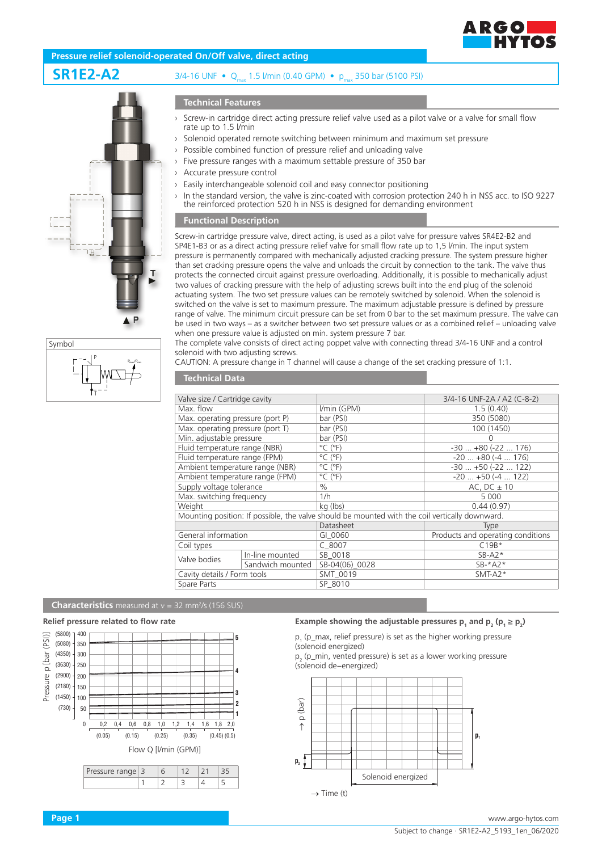

## **Pressure relief solenoid-operated On/Off valve, direct acting**

# **SR1E2-A2** 3/4-16 UNF • Qmax 1.5 l/min (0.40 GPM) • pmax 350 bar (5100 PSI)





## **Technical Features**

- Screw-in cartridge direct acting pressure relief valve used as a pilot valve or a valve for small flow rate up to 1.5 l/min
- Solenoid operated remote switching between minimum and maximum set pressure
- Possible combined function of pressure relief and unloading valve
- Five pressure ranges with a maximum settable pressure of 350 bar
- Accurate pressure control
- Easily interchangeable solenoid coil and easy connector positioning
- In the standard version, the valve is zinc-coated with corrosion protection 240 h in NSS acc. to ISO 9227 the reinforced protection 520 h in NSS is designed for demanding environment

#### **Functional Description**

Screw-in cartridge pressure valve, direct acting, is used as a pilot valve for pressure valves SR4E2-B2 and SP4E1-B3 or as a direct acting pressure relief valve for small flow rate up to 1,5 l/min. The input system pressure is permanently compared with mechanically adjusted cracking pressure. The system pressure higher than set cracking pressure opens the valve and unloads the circuit by connection to the tank. The valve thus protects the connected circuit against pressure overloading. Additionally, it is possible to mechanically adjust two values of cracking pressure with the help of adjusting screws built into the end plug of the solenoid actuating system. The two set pressure values can be remotely switched by solenoid. When the solenoid is switched on the valve is set to maximum pressure. The maximum adjustable pressure is defined by pressure range of valve. The minimum circuit pressure can be set from 0 bar to the set maximum pressure. The valve can be used in two ways – as a switcher between two set pressure values or as a combined relief – unloading valve when one pressure value is adjusted on min. system pressure 7 bar.

The complete valve consists of direct acting poppet valve with connecting thread 3/4-16 UNF and a control solenoid with two adjusting screws.

CAUTION: A pressure change in T channel will cause a change of the set cracking pressure of 1:1.

## **Technical Data**

| Valve size / Cartridge cavity    |                  |                                                                                                | 3/4-16 UNF-2A / A2 (C-8-2)        |  |  |
|----------------------------------|------------------|------------------------------------------------------------------------------------------------|-----------------------------------|--|--|
| Max. flow                        |                  | I/min (GPM)                                                                                    | 1.5(0.40)                         |  |  |
| Max. operating pressure (port P) |                  | bar (PSI)                                                                                      | 350 (5080)                        |  |  |
| Max. operating pressure (port T) |                  | bar (PSI)                                                                                      | 100 (1450)                        |  |  |
| Min. adjustable pressure         |                  | bar (PSI)                                                                                      | O                                 |  |  |
| Fluid temperature range (NBR)    |                  | $^{\circ}$ C ( $^{\circ}$ F)                                                                   | $-30$ $+80$ ( $-22$ 176)          |  |  |
| Fluid temperature range (FPM)    |                  | $^{\circ}$ C ( $^{\circ}$ F)                                                                   | $-20$ $+80$ ( $-4$ 176)           |  |  |
| Ambient temperature range (NBR)  |                  | $^{\circ}$ C ( $^{\circ}$ F)                                                                   | $-30$ $+50$ ( $-22$ 122)          |  |  |
| Ambient temperature range (FPM)  |                  | $^{\circ}$ C ( $^{\circ}$ F)                                                                   | $-20$ $+50$ ( $-4$ 122)           |  |  |
| Supply voltage tolerance         |                  | $\%$                                                                                           | AC, $DC \pm 10$                   |  |  |
| Max. switching frequency         |                  | 1/h                                                                                            | 5 0 0 0                           |  |  |
| Weight                           |                  | kg (lbs)                                                                                       | 0.44(0.97)                        |  |  |
|                                  |                  | Mounting position: If possible, the valve should be mounted with the coil vertically downward. |                                   |  |  |
|                                  |                  | Datasheet                                                                                      | <b>Type</b>                       |  |  |
| General information              |                  | GI 0060                                                                                        | Products and operating conditions |  |  |
| Coil types                       |                  | $C$ 8007                                                                                       | $C19B*$                           |  |  |
| Valve bodies                     | In-line mounted  | SB 0018                                                                                        | $SB- A2*$                         |  |  |
|                                  | Sandwich mounted | SB-04(06) 0028                                                                                 | $SB-*A2*$                         |  |  |
| Cavity details / Form tools      |                  | SMT 0019                                                                                       | $SMT-A2*$                         |  |  |
| Spare Parts                      |                  | SP 8010                                                                                        |                                   |  |  |

#### **Characteristics** measured at v = 32 mm<sup>2</sup>/s (156 SUS)

#### **Relief pressure related to flow rate**



 $1 \quad |2 \quad |3 \quad |4 \quad |5$ 

|  | $1,6$ $1,8$ $2,0$ |  |  |
|--|-------------------|--|--|
|  |                   |  |  |



# **Example showing the adjustable pressures**  $p_1$  **and**  $p_2$  **(** $p_1 \ge p_2$ **)**

 $p_1$  (p\_max, relief pressure) is set as the higher working pressure (solenoid energized)

 $p_2$  (p\_min, vented pressure) is set as a lower working pressure (solenoid de−energized)